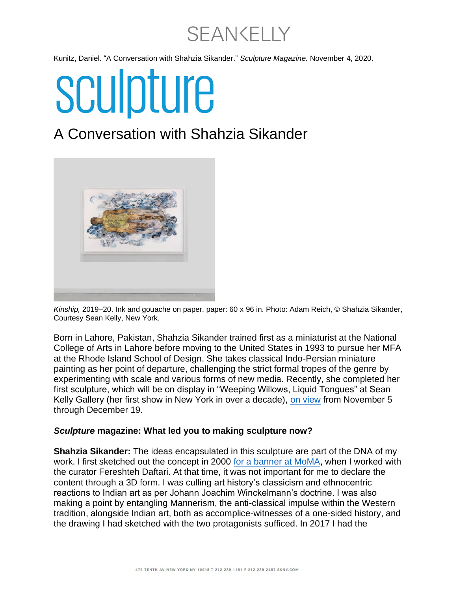**SEANKELLY** 

Kunitz, Daniel. "A Conversation with Shahzia Sikander." *Sculpture Magazine.* November 4, 2020.

# sculpture

### A Conversation with Shahzia Sikander



*Kinship,* 2019–20. Ink and gouache on paper, paper: 60 x 96 in. Photo: Adam Reich, © Shahzia Sikander, Courtesy Sean Kelly, New York.

Born in Lahore, Pakistan, Shahzia Sikander trained first as a miniaturist at the National College of Arts in Lahore before moving to the United States in 1993 to pursue her MFA at the Rhode Island School of Design. She takes classical Indo-Persian miniature painting as her point of departure, challenging the strict formal tropes of the genre by experimenting with scale and various forms of new media. Recently, she completed her first sculpture, which will be on display in "Weeping Willows, Liquid Tongues" at Sean Kelly Gallery (her first show in New York in over a decade), [on view](https://www.skny.com/exhibitions/shahzia-sikander) from November 5 through December 19.

#### *Sculpture* **magazine: What led you to making sculpture now?**

**Shahzia Sikander:** The ideas encapsulated in this sculpture are part of the DNA of my work. I first sketched out the concept in 2000 [for a banner at MoMA,](https://www.moma.org/calendar/exhibitions/175?installation_image_index=1) when I worked with the curator Fereshteh Daftari. At that time, it was not important for me to declare the content through a 3D form. I was culling art history's classicism and ethnocentric reactions to Indian art as per Johann Joachim Winckelmann's doctrine. I was also making a point by entangling Mannerism, the anti-classical impulse within the Western tradition, alongside Indian art, both as accomplice-witnesses of a one-sided history, and the drawing I had sketched with the two protagonists sufficed. In 2017 I had the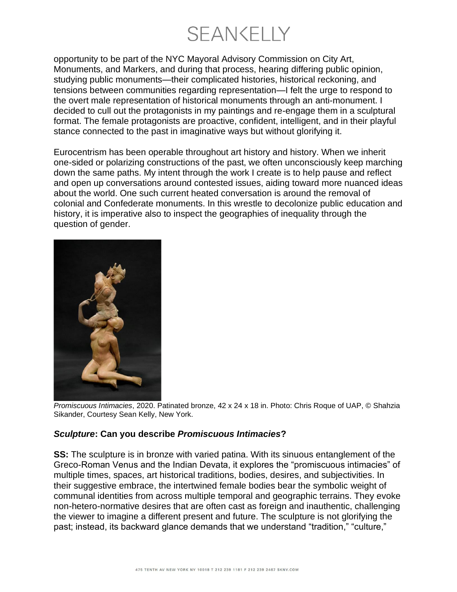**SEANKELLY** 

opportunity to be part of the NYC Mayoral Advisory Commission on City Art, Monuments, and Markers, and during that process, hearing differing public opinion, studying public monuments—their complicated histories, historical reckoning, and tensions between communities regarding representation—I felt the urge to respond to the overt male representation of historical monuments through an anti-monument. I decided to cull out the protagonists in my paintings and re-engage them in a sculptural format. The female protagonists are proactive, confident, intelligent, and in their playful stance connected to the past in imaginative ways but without glorifying it.

Eurocentrism has been operable throughout art history and history. When we inherit one-sided or polarizing constructions of the past, we often unconsciously keep marching down the same paths. My intent through the work I create is to help pause and reflect and open up conversations around contested issues, aiding toward more nuanced ideas about the world. One such current heated conversation is around the removal of colonial and Confederate monuments. In this wrestle to decolonize public education and history, it is imperative also to inspect the geographies of inequality through the question of gender.



*Promiscuous Intimacies*, 2020. Patinated bronze, 42 x 24 x 18 in. Photo: Chris Roque of UAP, © Shahzia Sikander, Courtesy Sean Kelly, New York.

#### *Sculpture***: Can you describe** *Promiscuous Intimacies***?**

**SS:** The sculpture is in bronze with varied patina. With its sinuous entanglement of the Greco-Roman Venus and the Indian Devata, it explores the "promiscuous intimacies" of multiple times, spaces, art historical traditions, bodies, desires, and subjectivities. In their suggestive embrace, the intertwined female bodies bear the symbolic weight of communal identities from across multiple temporal and geographic terrains. They evoke non-hetero-normative desires that are often cast as foreign and inauthentic, challenging the viewer to imagine a different present and future. The sculpture is not glorifying the past; instead, its backward glance demands that we understand "tradition," "culture,"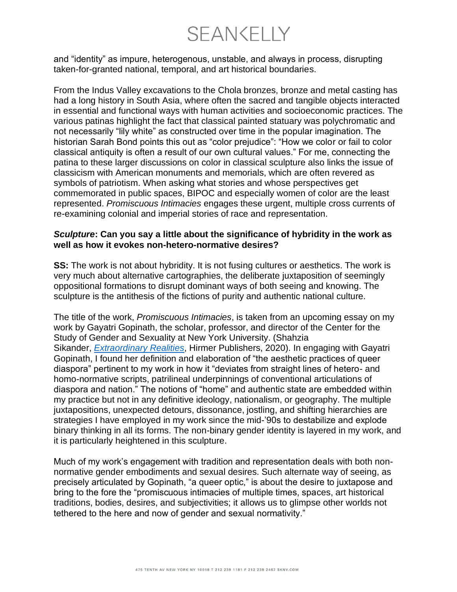**SEANKELLY** 

and "identity" as impure, heterogenous, unstable, and always in process, disrupting taken-for-granted national, temporal, and art historical boundaries.

From the Indus Valley excavations to the Chola bronzes, bronze and metal casting has had a long history in South Asia, where often the sacred and tangible objects interacted in essential and functional ways with human activities and socioeconomic practices. The various patinas highlight the fact that classical painted statuary was polychromatic and not necessarily "lily white" as constructed over time in the popular imagination. The historian Sarah Bond points this out as "color prejudice": "How we color or fail to color classical antiquity is often a result of our own cultural values." For me, connecting the patina to these larger discussions on color in classical sculpture also links the issue of classicism with American monuments and memorials, which are often revered as symbols of patriotism. When asking what stories and whose perspectives get commemorated in public spaces, BIPOC and especially women of color are the least represented. *Promiscuous Intimacies* engages these urgent, multiple cross currents of re-examining colonial and imperial stories of race and representation.

#### *Sculpture***: Can you say a little about the significance of hybridity in the work as well as how it evokes non-hetero-normative desires?**

**SS:** The work is not about hybridity. It is not fusing cultures or aesthetics. The work is very much about alternative cartographies, the deliberate juxtaposition of seemingly oppositional formations to disrupt dominant ways of both seeing and knowing. The sculpture is the antithesis of the fictions of purity and authentic national culture.

The title of the work, *Promiscuous Intimacies*, is taken from an upcoming essay on my work by Gayatri Gopinath, the scholar, professor, and director of the Center for the Study of Gender and Sexuality at New York University. (Shahzia Sikander, *[Extraordinary Realities](https://www.shahziasikander.com/news/shahzia-sikander-extraordinary-realities)*, Hirmer Publishers, 2020). In engaging with Gayatri Gopinath, I found her definition and elaboration of "the aesthetic practices of queer diaspora" pertinent to my work in how it "deviates from straight lines of hetero- and homo-normative scripts, patrilineal underpinnings of conventional articulations of diaspora and nation." The notions of "home" and authentic state are embedded within my practice but not in any definitive ideology, nationalism, or geography. The multiple juxtapositions, unexpected detours, dissonance, jostling, and shifting hierarchies are strategies I have employed in my work since the mid-'90s to destabilize and explode binary thinking in all its forms. The non-binary gender identity is layered in my work, and it is particularly heightened in this sculpture.

Much of my work's engagement with tradition and representation deals with both nonnormative gender embodiments and sexual desires. Such alternate way of seeing, as precisely articulated by Gopinath, "a queer optic," is about the desire to juxtapose and bring to the fore the "promiscuous intimacies of multiple times, spaces, art historical traditions, bodies, desires, and subjectivities; it allows us to glimpse other worlds not tethered to the here and now of gender and sexual normativity."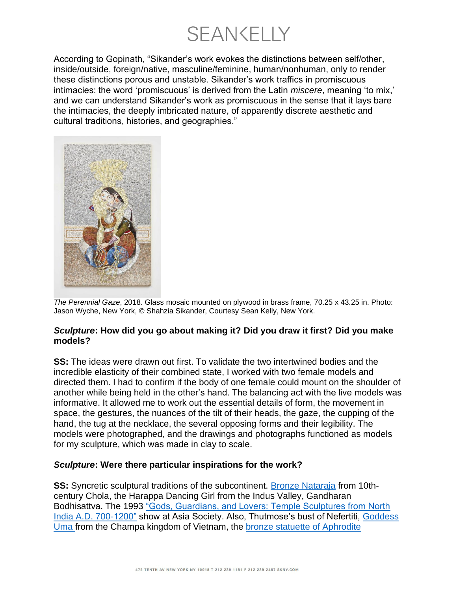**SEANKELLY** 

According to Gopinath, "Sikander's work evokes the distinctions between self/other, inside/outside, foreign/native, masculine/feminine, human/nonhuman, only to render these distinctions porous and unstable. Sikander's work traffics in promiscuous intimacies: the word 'promiscuous' is derived from the Latin *miscere*, meaning 'to mix,' and we can understand Sikander's work as promiscuous in the sense that it lays bare the intimacies, the deeply imbricated nature, of apparently discrete aesthetic and cultural traditions, histories, and geographies."



*The Perennial Gaze*, 2018. Glass mosaic mounted on plywood in brass frame, 70.25 x 43.25 in. Photo: Jason Wyche, New York, © Shahzia Sikander, Courtesy Sean Kelly, New York.

#### *Sculpture***: How did you go about making it? Did you draw it first? Did you make models?**

**SS:** The ideas were drawn out first. To validate the two intertwined bodies and the incredible elasticity of their combined state, I worked with two female models and directed them. I had to confirm if the body of one female could mount on the shoulder of another while being held in the other's hand. The balancing act with the live models was informative. It allowed me to work out the essential details of form, the movement in space, the gestures, the nuances of the tilt of their heads, the gaze, the cupping of the hand, the tug at the necklace, the several opposing forms and their legibility. The models were photographed, and the drawings and photographs functioned as models for my sculpture, which was made in clay to scale.

#### *Sculpture***: Were there particular inspirations for the work?**

**SS:** Syncretic sculptural traditions of the subcontinent. [Bronze Nataraja](https://www.metmuseum.org/art/collection/search/39328) from 10thcentury Chola, the Harappa Dancing Girl from the Indus Valley, Gandharan Bodhisattva. The 1993 ["Gods, Guardians, and Lovers: Temple Sculptures from North](https://asiastore.org/product/asia-society-x241-gods-guardians-lovers/)  [India A.D. 700-1200"](https://asiastore.org/product/asia-society-x241-gods-guardians-lovers/) show at Asia Society. Also, Thutmose's bust of Nefertiti, [Goddess](https://www.artic.edu/artworks/152836/a-goddess-possibly-uma)  [Uma](https://www.artic.edu/artworks/152836/a-goddess-possibly-uma) from the Champa kingdom of Vietnam, the [bronze statuette of Aphrodite](https://www.metmuseum.org/blogs/now-at-the-met/2019/aphrodite-world-between-empires)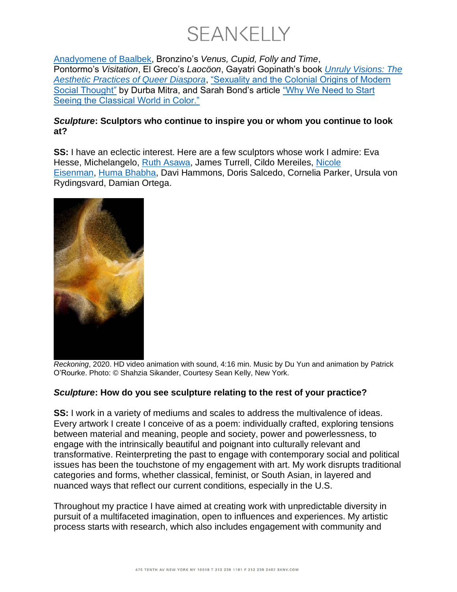

[Anadyomene of Baalbek,](https://www.metmuseum.org/blogs/now-at-the-met/2019/aphrodite-world-between-empires) Bronzino's *Venus, Cupid, Folly and Time*, Pontormo's *Visitation*, El Greco's *Laocöon*, Gayatri Gopinath's book *[Unruly Visions: The](https://www.dukeupress.edu/unruly-visions)  [Aesthetic Practices of Queer Diaspora](https://www.dukeupress.edu/unruly-visions)*, ["Sexuality and the Colonial Origins of Modern](https://press.princeton.edu/books/hardcover/9780691196343/indian-sex-life)  [Social Thought"](https://press.princeton.edu/books/hardcover/9780691196343/indian-sex-life) by Durba Mitra, and Sarah Bond's article ["Why We Need to Start](https://hyperallergic.com/383776/why-we-need-to-start-seeing-the-classical-world-in-color/)  [Seeing the Classical World in Color."](https://hyperallergic.com/383776/why-we-need-to-start-seeing-the-classical-world-in-color/)

#### *Sculpture***: Sculptors who continue to inspire you or whom you continue to look at?**

**SS:** I have an eclectic interest. Here are a few sculptors whose work I admire: Eva Hesse, Michelangelo, [Ruth Asawa,](https://sculpturemagazine.art/ruth-asawa/) James Turrell, Cildo Mereiles, Nicole [Eisenman,](https://sculpturemagazine.art/nicole-eisenman-walking-together/) [Huma Bhabha,](https://sculpturemagazine.art/giants-walking-a-conversation-with-huma-bhabha/) Davi Hammons, Doris Salcedo, Cornelia Parker, Ursula von Rydingsvard, Damian Ortega.



*Reckoning*, 2020. HD video animation with sound, 4:16 min. Music by Du Yun and animation by Patrick O'Rourke. Photo: © Shahzia Sikander, Courtesy Sean Kelly, New York.

#### *Sculpture***: How do you see sculpture relating to the rest of your practice?**

**SS:** I work in a variety of mediums and scales to address the multivalence of ideas. Every artwork I create I conceive of as a poem: individually crafted, exploring tensions between material and meaning, people and society, power and powerlessness, to engage with the intrinsically beautiful and poignant into culturally relevant and transformative. Reinterpreting the past to engage with contemporary social and political issues has been the touchstone of my engagement with art. My work disrupts traditional categories and forms, whether classical, feminist, or South Asian, in layered and nuanced ways that reflect our current conditions, especially in the U.S.

Throughout my practice I have aimed at creating work with unpredictable diversity in pursuit of a multifaceted imagination, open to influences and experiences. My artistic process starts with research, which also includes engagement with community and